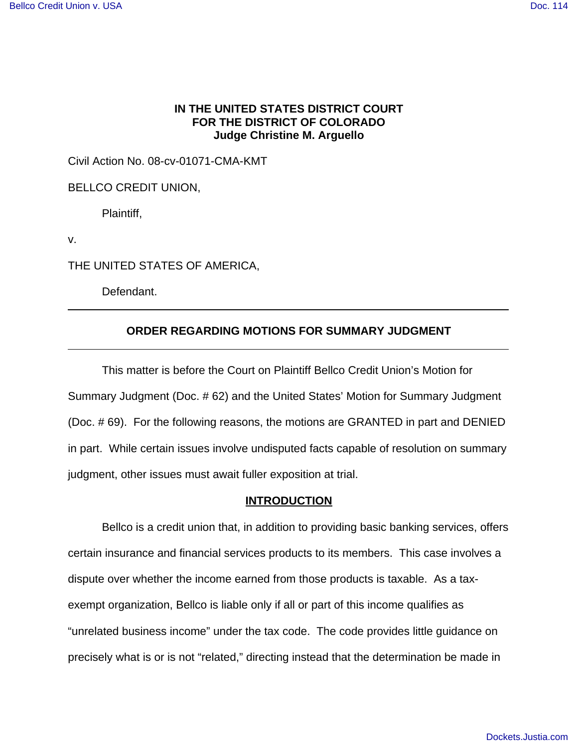# **IN THE UNITED STATES DISTRICT COURT FOR THE DISTRICT OF COLORADO Judge Christine M. Arguello**

Civil Action No. 08-cv-01071-CMA-KMT

BELLCO CREDIT UNION,

Plaintiff,

v.

 $\overline{a}$ 

THE UNITED STATES OF AMERICA,

Defendant.

# **ORDER REGARDING MOTIONS FOR SUMMARY JUDGMENT**

This matter is before the Court on Plaintiff Bellco Credit Union's Motion for Summary Judgment (Doc. # 62) and the United States' Motion for Summary Judgment (Doc. # 69). For the following reasons, the motions are GRANTED in part and DENIED in part. While certain issues involve undisputed facts capable of resolution on summary judgment, other issues must await fuller exposition at trial.

#### **INTRODUCTION**

Bellco is a credit union that, in addition to providing basic banking services, offers certain insurance and financial services products to its members. This case involves a dispute over whether the income earned from those products is taxable. As a taxexempt organization, Bellco is liable only if all or part of this income qualifies as "unrelated business income" under the tax code. The code provides little guidance on precisely what is or is not "related," directing instead that the determination be made in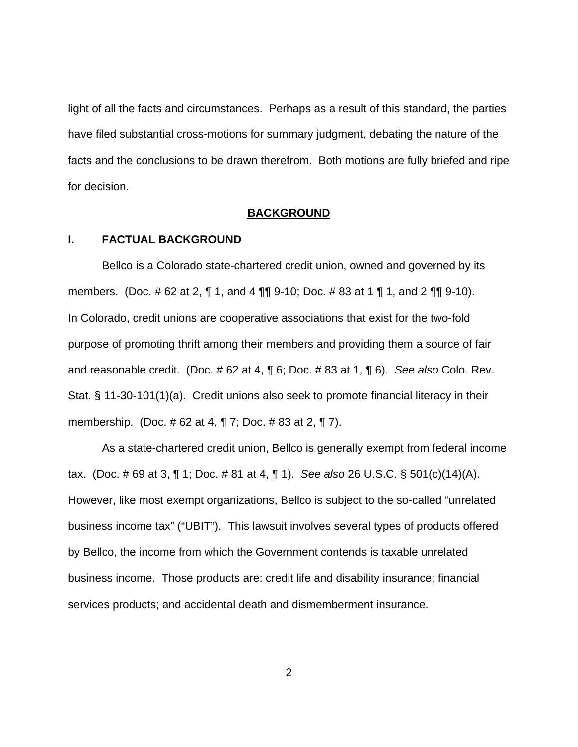light of all the facts and circumstances. Perhaps as a result of this standard, the parties have filed substantial cross-motions for summary judgment, debating the nature of the facts and the conclusions to be drawn therefrom. Both motions are fully briefed and ripe for decision.

# **BACKGROUND**

# **I. FACTUAL BACKGROUND**

Bellco is a Colorado state-chartered credit union, owned and governed by its members. (Doc. # 62 at 2, ¶ 1, and 4 ¶¶ 9-10; Doc. # 83 at 1 ¶ 1, and 2 ¶¶ 9-10). In Colorado, credit unions are cooperative associations that exist for the two-fold purpose of promoting thrift among their members and providing them a source of fair and reasonable credit. (Doc. # 62 at 4, ¶ 6; Doc. # 83 at 1, ¶ 6). See also Colo. Rev. Stat. § 11-30-101(1)(a). Credit unions also seek to promote financial literacy in their membership. (Doc. # 62 at 4, ¶ 7; Doc. # 83 at 2, ¶ 7).

As a state-chartered credit union, Bellco is generally exempt from federal income tax. (Doc. # 69 at 3, ¶ 1; Doc. # 81 at 4, ¶ 1). See also 26 U.S.C. § 501(c)(14)(A). However, like most exempt organizations, Bellco is subject to the so-called "unrelated business income tax" ("UBIT"). This lawsuit involves several types of products offered by Bellco, the income from which the Government contends is taxable unrelated business income. Those products are: credit life and disability insurance; financial services products; and accidental death and dismemberment insurance.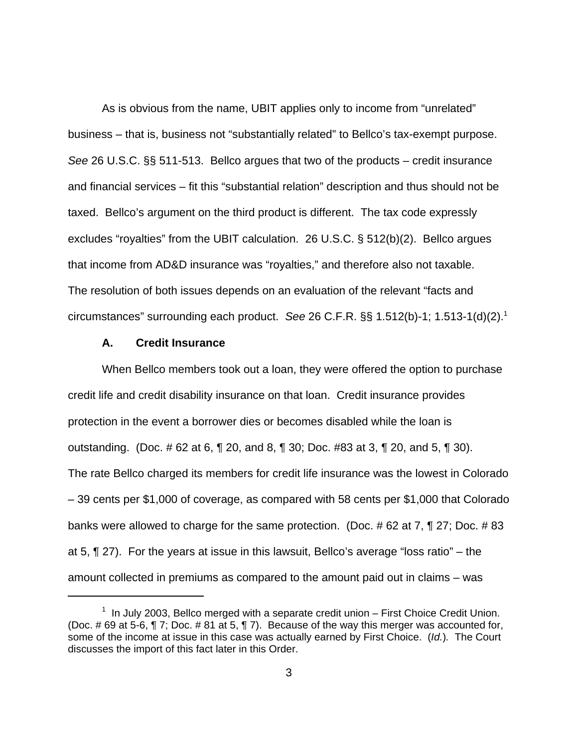As is obvious from the name, UBIT applies only to income from "unrelated" business – that is, business not "substantially related" to Bellco's tax-exempt purpose. See 26 U.S.C. §§ 511-513. Bellco argues that two of the products – credit insurance and financial services – fit this "substantial relation" description and thus should not be taxed. Bellco's argument on the third product is different. The tax code expressly excludes "royalties" from the UBIT calculation. 26 U.S.C. § 512(b)(2). Bellco argues that income from AD&D insurance was "royalties," and therefore also not taxable. The resolution of both issues depends on an evaluation of the relevant "facts and circumstances" surrounding each product. See 26 C.F.R.  $\S$  $\S$  1.512(b)-1; 1.513-1(d)(2).<sup>1</sup>

#### **A. Credit Insurance**

When Bellco members took out a loan, they were offered the option to purchase credit life and credit disability insurance on that loan. Credit insurance provides protection in the event a borrower dies or becomes disabled while the loan is outstanding. (Doc. # 62 at 6, ¶ 20, and 8, ¶ 30; Doc. #83 at 3, ¶ 20, and 5, ¶ 30). The rate Bellco charged its members for credit life insurance was the lowest in Colorado – 39 cents per \$1,000 of coverage, as compared with 58 cents per \$1,000 that Colorado banks were allowed to charge for the same protection. (Doc. # 62 at 7, ¶ 27; Doc. # 83 at 5, ¶ 27). For the years at issue in this lawsuit, Bellco's average "loss ratio" – the amount collected in premiums as compared to the amount paid out in claims – was

 $1$  In July 2003, Bellco merged with a separate credit union – First Choice Credit Union. (Doc. # 69 at 5-6, ¶ 7; Doc. # 81 at 5, ¶ 7). Because of the way this merger was accounted for, some of the income at issue in this case was actually earned by First Choice. (Id.). The Court discusses the import of this fact later in this Order.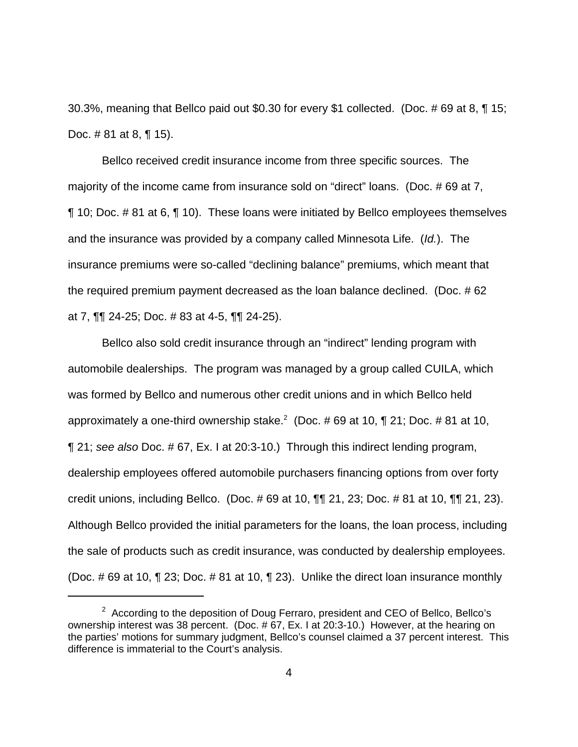30.3%, meaning that Bellco paid out \$0.30 for every \$1 collected. (Doc. # 69 at 8, ¶ 15; Doc. # 81 at 8, ¶ 15).

Bellco received credit insurance income from three specific sources. The majority of the income came from insurance sold on "direct" loans. (Doc. #69 at 7, ¶ 10; Doc. # 81 at 6, ¶ 10). These loans were initiated by Bellco employees themselves and the insurance was provided by a company called Minnesota Life. (Id.). The insurance premiums were so-called "declining balance" premiums, which meant that the required premium payment decreased as the loan balance declined. (Doc. # 62 at 7, ¶¶ 24-25; Doc. # 83 at 4-5, ¶¶ 24-25).

Bellco also sold credit insurance through an "indirect" lending program with automobile dealerships. The program was managed by a group called CUILA, which was formed by Bellco and numerous other credit unions and in which Bellco held approximately a one-third ownership stake.<sup>2</sup> (Doc. # 69 at 10, ¶ 21; Doc. # 81 at 10, ¶ 21; see also Doc. # 67, Ex. I at 20:3-10.) Through this indirect lending program, dealership employees offered automobile purchasers financing options from over forty credit unions, including Bellco. (Doc. # 69 at 10, ¶¶ 21, 23; Doc. # 81 at 10, ¶¶ 21, 23). Although Bellco provided the initial parameters for the loans, the loan process, including the sale of products such as credit insurance, was conducted by dealership employees. (Doc. # 69 at 10, ¶ 23; Doc. # 81 at 10, ¶ 23). Unlike the direct loan insurance monthly

<sup>&</sup>lt;sup>2</sup> According to the deposition of Doug Ferraro, president and CEO of Bellco, Bellco's ownership interest was 38 percent. (Doc. # 67, Ex. I at 20:3-10.) However, at the hearing on the parties' motions for summary judgment, Bellco's counsel claimed a 37 percent interest. This difference is immaterial to the Court's analysis.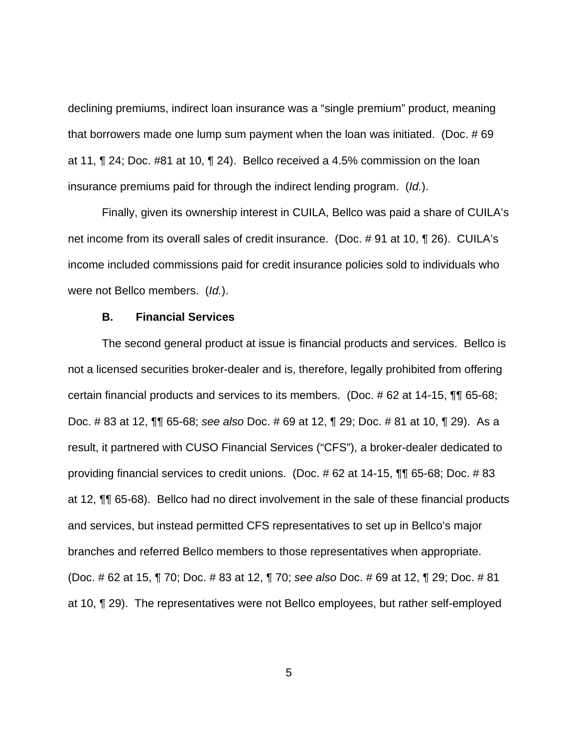declining premiums, indirect loan insurance was a "single premium" product, meaning that borrowers made one lump sum payment when the loan was initiated. (Doc. # 69 at 11, ¶ 24; Doc. #81 at 10, ¶ 24). Bellco received a 4.5% commission on the loan insurance premiums paid for through the indirect lending program. (Id.).

Finally, given its ownership interest in CUILA, Bellco was paid a share of CUILA's net income from its overall sales of credit insurance. (Doc. # 91 at 10, ¶ 26). CUILA's income included commissions paid for credit insurance policies sold to individuals who were not Bellco members. (Id.).

#### **B. Financial Services**

The second general product at issue is financial products and services. Bellco is not a licensed securities broker-dealer and is, therefore, legally prohibited from offering certain financial products and services to its members. (Doc. # 62 at 14-15, ¶¶ 65-68; Doc. # 83 at 12, ¶¶ 65-68; see also Doc. # 69 at 12, ¶ 29; Doc. # 81 at 10, ¶ 29). As a result, it partnered with CUSO Financial Services ("CFS"), a broker-dealer dedicated to providing financial services to credit unions. (Doc. # 62 at 14-15, ¶¶ 65-68; Doc. # 83 at 12, ¶¶ 65-68). Bellco had no direct involvement in the sale of these financial products and services, but instead permitted CFS representatives to set up in Bellco's major branches and referred Bellco members to those representatives when appropriate. (Doc. # 62 at 15, ¶ 70; Doc. # 83 at 12, ¶ 70; see also Doc. # 69 at 12, ¶ 29; Doc. # 81 at 10, ¶ 29). The representatives were not Bellco employees, but rather self-employed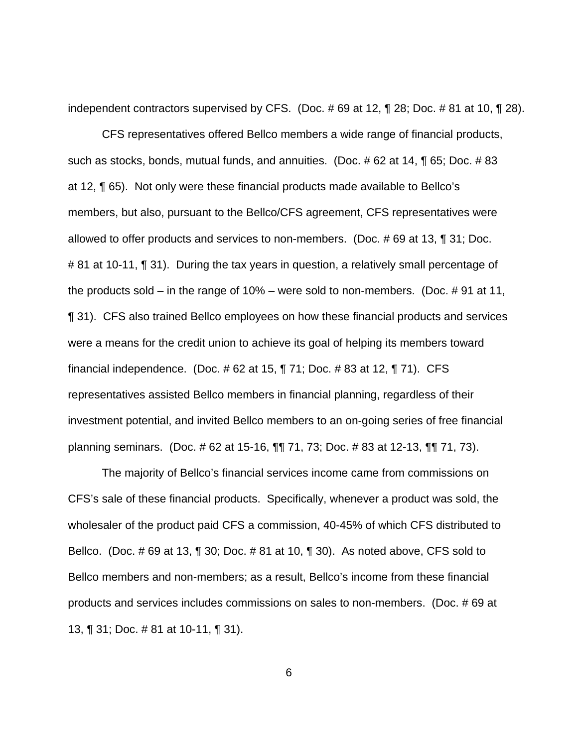independent contractors supervised by CFS. (Doc. # 69 at 12, ¶ 28; Doc. # 81 at 10, ¶ 28).

CFS representatives offered Bellco members a wide range of financial products, such as stocks, bonds, mutual funds, and annuities. (Doc. # 62 at 14, ¶ 65; Doc. # 83 at 12, ¶ 65). Not only were these financial products made available to Bellco's members, but also, pursuant to the Bellco/CFS agreement, CFS representatives were allowed to offer products and services to non-members. (Doc. # 69 at 13, ¶ 31; Doc. # 81 at 10-11, ¶ 31). During the tax years in question, a relatively small percentage of the products sold – in the range of 10% – were sold to non-members. (Doc. # 91 at 11, ¶ 31). CFS also trained Bellco employees on how these financial products and services were a means for the credit union to achieve its goal of helping its members toward financial independence. (Doc. # 62 at 15, ¶ 71; Doc. # 83 at 12, ¶ 71). CFS representatives assisted Bellco members in financial planning, regardless of their investment potential, and invited Bellco members to an on-going series of free financial planning seminars. (Doc. # 62 at 15-16, ¶¶ 71, 73; Doc. # 83 at 12-13, ¶¶ 71, 73).

The majority of Bellco's financial services income came from commissions on CFS's sale of these financial products. Specifically, whenever a product was sold, the wholesaler of the product paid CFS a commission, 40-45% of which CFS distributed to Bellco. (Doc. # 69 at 13, ¶ 30; Doc. # 81 at 10, ¶ 30). As noted above, CFS sold to Bellco members and non-members; as a result, Bellco's income from these financial products and services includes commissions on sales to non-members. (Doc. # 69 at 13, ¶ 31; Doc. # 81 at 10-11, ¶ 31).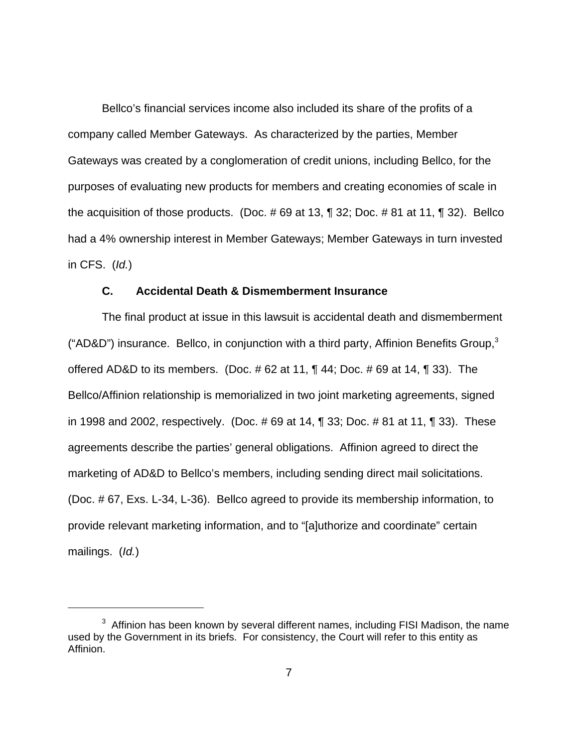Bellco's financial services income also included its share of the profits of a company called Member Gateways. As characterized by the parties, Member Gateways was created by a conglomeration of credit unions, including Bellco, for the purposes of evaluating new products for members and creating economies of scale in the acquisition of those products. (Doc. # 69 at 13, ¶ 32; Doc. # 81 at 11, ¶ 32). Bellco had a 4% ownership interest in Member Gateways; Member Gateways in turn invested in CFS.  $(Id.)$ 

### **C. Accidental Death & Dismemberment Insurance**

The final product at issue in this lawsuit is accidental death and dismemberment (" $AD&D$ ") insurance. Bellco, in conjunction with a third party, Affinion Benefits Group, $3$ offered AD&D to its members. (Doc. # 62 at 11, ¶ 44; Doc. # 69 at 14, ¶ 33). The Bellco/Affinion relationship is memorialized in two joint marketing agreements, signed in 1998 and 2002, respectively. (Doc. # 69 at 14, ¶ 33; Doc. # 81 at 11, ¶ 33). These agreements describe the parties' general obligations. Affinion agreed to direct the marketing of AD&D to Bellco's members, including sending direct mail solicitations. (Doc. # 67, Exs. L-34, L-36). Bellco agreed to provide its membership information, to provide relevant marketing information, and to "[a]uthorize and coordinate" certain mailings. (Id.)

 $3$  Affinion has been known by several different names, including FISI Madison, the name used by the Government in its briefs. For consistency, the Court will refer to this entity as Affinion.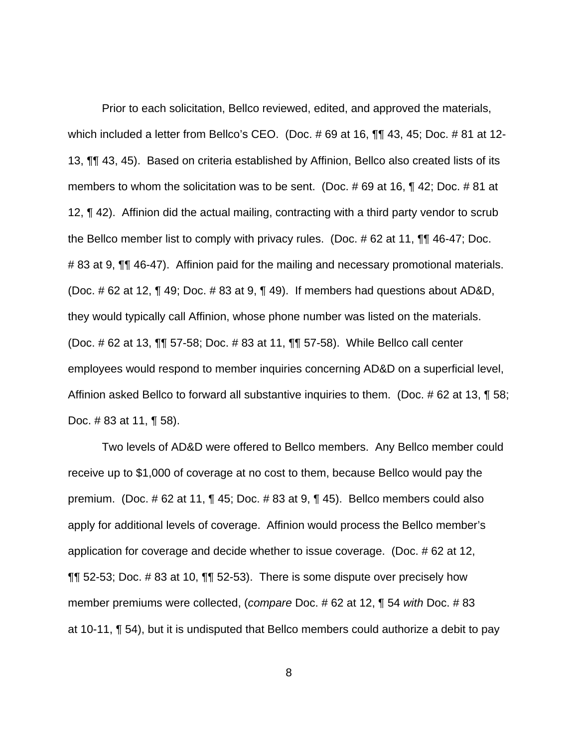Prior to each solicitation, Bellco reviewed, edited, and approved the materials, which included a letter from Bellco's CEO. (Doc. #69 at 16, 11, 43, 45; Doc. #81 at 12-13, ¶¶ 43, 45). Based on criteria established by Affinion, Bellco also created lists of its members to whom the solicitation was to be sent. (Doc. # 69 at 16, ¶ 42; Doc. # 81 at 12, ¶ 42). Affinion did the actual mailing, contracting with a third party vendor to scrub the Bellco member list to comply with privacy rules. (Doc. # 62 at 11, ¶¶ 46-47; Doc. # 83 at 9,  $\P$  46-47). Affinion paid for the mailing and necessary promotional materials. (Doc. # 62 at 12, ¶ 49; Doc. # 83 at 9, ¶ 49). If members had questions about AD&D, they would typically call Affinion, whose phone number was listed on the materials. (Doc. # 62 at 13, ¶¶ 57-58; Doc. # 83 at 11, ¶¶ 57-58). While Bellco call center employees would respond to member inquiries concerning AD&D on a superficial level, Affinion asked Bellco to forward all substantive inquiries to them. (Doc. #62 at 13, ¶ 58; Doc. # 83 at 11, ¶ 58).

Two levels of AD&D were offered to Bellco members. Any Bellco member could receive up to \$1,000 of coverage at no cost to them, because Bellco would pay the premium. (Doc. # 62 at 11, ¶ 45; Doc. # 83 at 9, ¶ 45). Bellco members could also apply for additional levels of coverage. Affinion would process the Bellco member's application for coverage and decide whether to issue coverage. (Doc. # 62 at 12, ¶¶ 52-53; Doc. # 83 at 10, ¶¶ 52-53). There is some dispute over precisely how member premiums were collected, (compare Doc. # 62 at 12, ¶ 54 with Doc. # 83 at 10-11, ¶ 54), but it is undisputed that Bellco members could authorize a debit to pay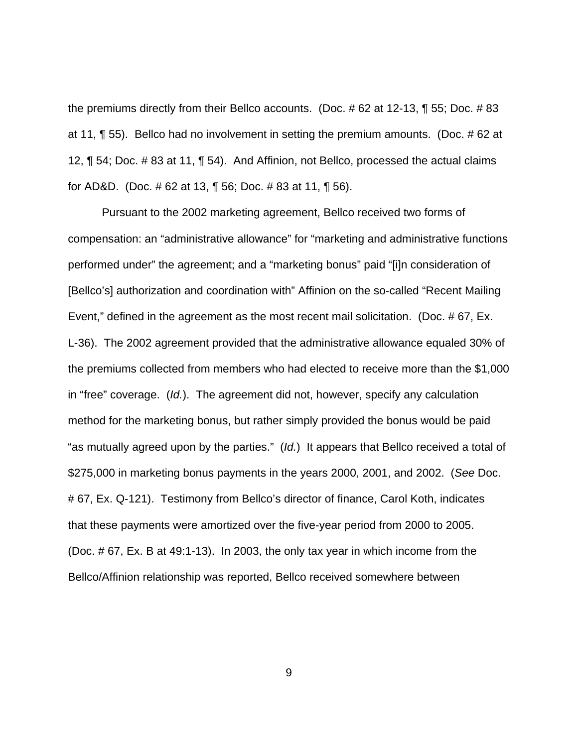the premiums directly from their Bellco accounts. (Doc. # 62 at 12-13, ¶ 55; Doc. # 83 at 11, ¶ 55). Bellco had no involvement in setting the premium amounts. (Doc. # 62 at 12, ¶ 54; Doc. # 83 at 11, ¶ 54). And Affinion, not Bellco, processed the actual claims for AD&D. (Doc. # 62 at 13, ¶ 56; Doc. # 83 at 11, ¶ 56).

Pursuant to the 2002 marketing agreement, Bellco received two forms of compensation: an "administrative allowance" for "marketing and administrative functions performed under" the agreement; and a "marketing bonus" paid "[i]n consideration of [Bellco's] authorization and coordination with" Affinion on the so-called "Recent Mailing Event," defined in the agreement as the most recent mail solicitation. (Doc. # 67, Ex. L-36). The 2002 agreement provided that the administrative allowance equaled 30% of the premiums collected from members who had elected to receive more than the \$1,000 in "free" coverage. (Id.). The agreement did not, however, specify any calculation method for the marketing bonus, but rather simply provided the bonus would be paid "as mutually agreed upon by the parties." (Id.) It appears that Bellco received a total of \$275,000 in marketing bonus payments in the years 2000, 2001, and 2002. (See Doc. # 67, Ex. Q-121). Testimony from Bellco's director of finance, Carol Koth, indicates that these payments were amortized over the five-year period from 2000 to 2005. (Doc. # 67, Ex. B at 49:1-13). In 2003, the only tax year in which income from the Bellco/Affinion relationship was reported, Bellco received somewhere between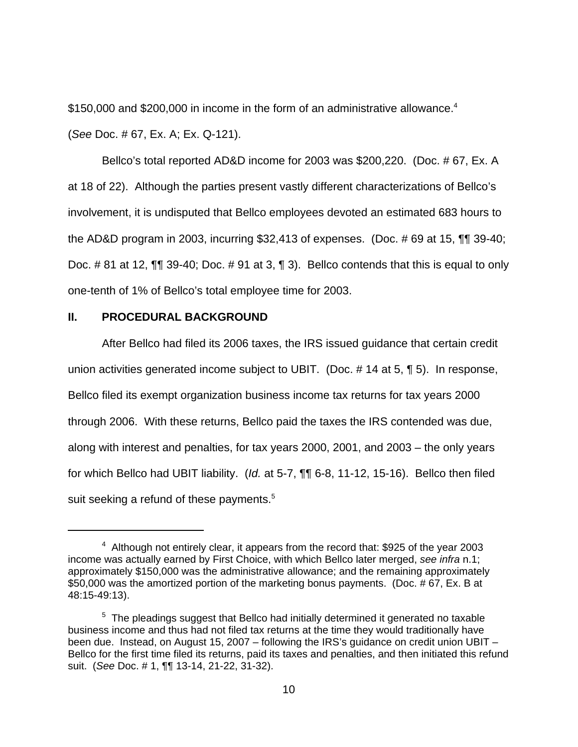\$150,000 and \$200,000 in income in the form of an administrative allowance.<sup>4</sup>

(See Doc. # 67, Ex. A; Ex. Q-121).

Bellco's total reported AD&D income for 2003 was \$200,220. (Doc. # 67, Ex. A at 18 of 22). Although the parties present vastly different characterizations of Bellco's involvement, it is undisputed that Bellco employees devoted an estimated 683 hours to the AD&D program in 2003, incurring \$32,413 of expenses. (Doc. # 69 at 15, ¶¶ 39-40; Doc. # 81 at 12, ¶¶ 39-40; Doc. # 91 at 3, ¶ 3). Bellco contends that this is equal to only one-tenth of 1% of Bellco's total employee time for 2003.

# **II. PROCEDURAL BACKGROUND**

After Bellco had filed its 2006 taxes, the IRS issued guidance that certain credit union activities generated income subject to UBIT. (Doc. # 14 at 5, ¶ 5). In response, Bellco filed its exempt organization business income tax returns for tax years 2000 through 2006. With these returns, Bellco paid the taxes the IRS contended was due, along with interest and penalties, for tax years 2000, 2001, and 2003 – the only years for which Bellco had UBIT liability. (Id. at 5-7, ¶¶ 6-8, 11-12, 15-16). Bellco then filed suit seeking a refund of these payments.<sup>5</sup>

 $4$  Although not entirely clear, it appears from the record that: \$925 of the year 2003 income was actually earned by First Choice, with which Bellco later merged, see infra n.1; approximately \$150,000 was the administrative allowance; and the remaining approximately \$50,000 was the amortized portion of the marketing bonus payments. (Doc. # 67, Ex. B at 48:15-49:13).

 $5$  The pleadings suggest that Bellco had initially determined it generated no taxable business income and thus had not filed tax returns at the time they would traditionally have been due. Instead, on August 15, 2007 – following the IRS's guidance on credit union UBIT – Bellco for the first time filed its returns, paid its taxes and penalties, and then initiated this refund suit. (See Doc. # 1, ¶¶ 13-14, 21-22, 31-32).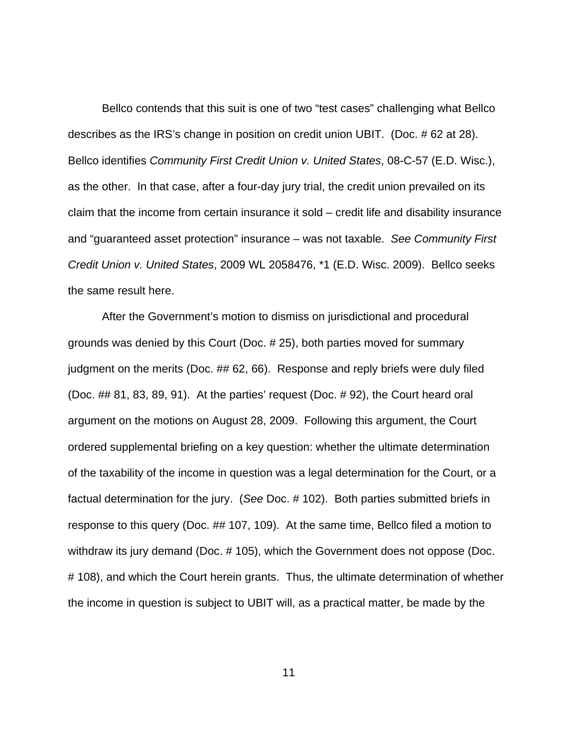Bellco contends that this suit is one of two "test cases" challenging what Bellco describes as the IRS's change in position on credit union UBIT. (Doc. # 62 at 28). Bellco identifies Community First Credit Union v. United States, 08-C-57 (E.D. Wisc.), as the other. In that case, after a four-day jury trial, the credit union prevailed on its claim that the income from certain insurance it sold – credit life and disability insurance and "guaranteed asset protection" insurance – was not taxable. See Community First Credit Union v. United States, 2009 WL 2058476, \*1 (E.D. Wisc. 2009). Bellco seeks the same result here.

After the Government's motion to dismiss on jurisdictional and procedural grounds was denied by this Court (Doc. # 25), both parties moved for summary judgment on the merits (Doc. ## 62, 66). Response and reply briefs were duly filed (Doc. ## 81, 83, 89, 91). At the parties' request (Doc. # 92), the Court heard oral argument on the motions on August 28, 2009. Following this argument, the Court ordered supplemental briefing on a key question: whether the ultimate determination of the taxability of the income in question was a legal determination for the Court, or a factual determination for the jury. (See Doc. # 102). Both parties submitted briefs in response to this query (Doc. ## 107, 109). At the same time, Bellco filed a motion to withdraw its jury demand (Doc. # 105), which the Government does not oppose (Doc. # 108), and which the Court herein grants. Thus, the ultimate determination of whether the income in question is subject to UBIT will, as a practical matter, be made by the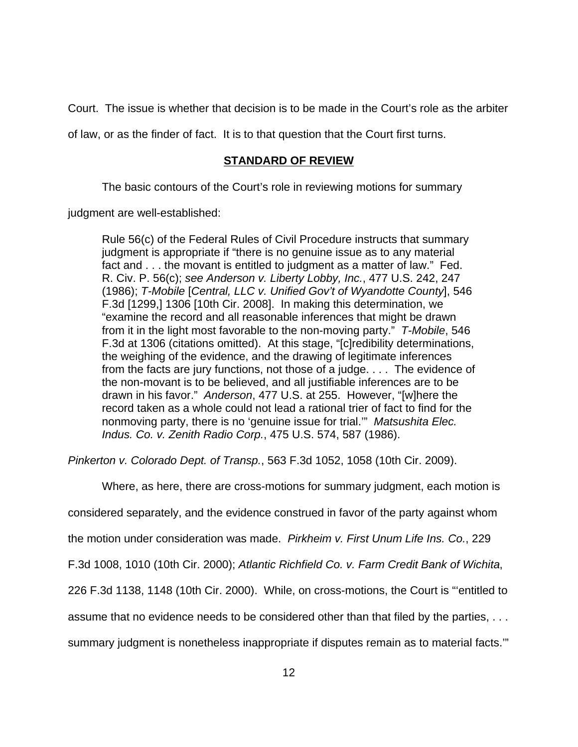Court. The issue is whether that decision is to be made in the Court's role as the arbiter

of law, or as the finder of fact. It is to that question that the Court first turns.

# **STANDARD OF REVIEW**

The basic contours of the Court's role in reviewing motions for summary

judgment are well-established:

Rule 56(c) of the Federal Rules of Civil Procedure instructs that summary judgment is appropriate if "there is no genuine issue as to any material fact and . . . the movant is entitled to judgment as a matter of law." Fed. R. Civ. P. 56(c); see Anderson v. Liberty Lobby, Inc., 477 U.S. 242, 247 (1986); T-Mobile [Central, LLC v. Unified Gov't of Wyandotte County], 546 F.3d [1299,] 1306 [10th Cir. 2008]. In making this determination, we "examine the record and all reasonable inferences that might be drawn from it in the light most favorable to the non-moving party." T-Mobile, 546 F.3d at 1306 (citations omitted). At this stage, "[c]redibility determinations, the weighing of the evidence, and the drawing of legitimate inferences from the facts are jury functions, not those of a judge. . . . The evidence of the non-movant is to be believed, and all justifiable inferences are to be drawn in his favor." Anderson, 477 U.S. at 255. However, "[w]here the record taken as a whole could not lead a rational trier of fact to find for the nonmoving party, there is no 'genuine issue for trial.'" Matsushita Elec. Indus. Co. v. Zenith Radio Corp., 475 U.S. 574, 587 (1986).

Pinkerton v. Colorado Dept. of Transp., 563 F.3d 1052, 1058 (10th Cir. 2009).

Where, as here, there are cross-motions for summary judgment, each motion is

considered separately, and the evidence construed in favor of the party against whom

the motion under consideration was made. Pirkheim v. First Unum Life Ins. Co., 229

F.3d 1008, 1010 (10th Cir. 2000); Atlantic Richfield Co. v. Farm Credit Bank of Wichita,

226 F.3d 1138, 1148 (10th Cir. 2000). While, on cross-motions, the Court is "'entitled to

assume that no evidence needs to be considered other than that filed by the parties, . . .

summary judgment is nonetheless inappropriate if disputes remain as to material facts.'"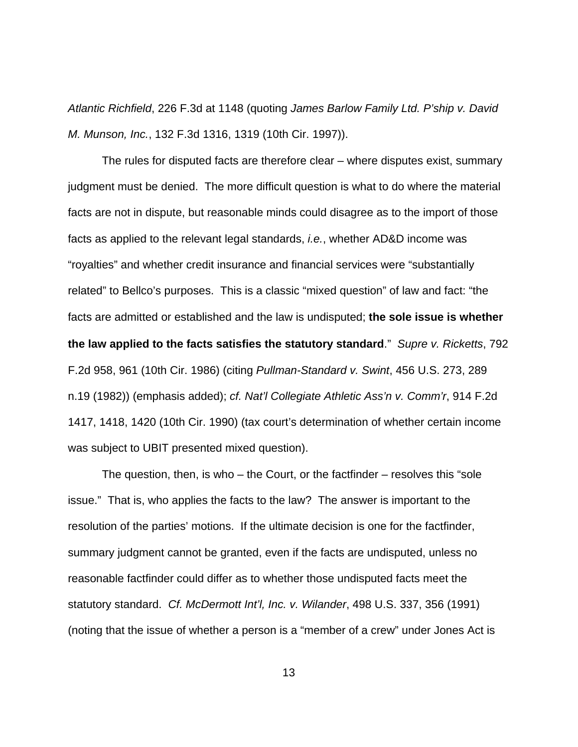Atlantic Richfield, 226 F.3d at 1148 (quoting James Barlow Family Ltd. P'ship v. David M. Munson, Inc., 132 F.3d 1316, 1319 (10th Cir. 1997)).

The rules for disputed facts are therefore clear – where disputes exist, summary judgment must be denied. The more difficult question is what to do where the material facts are not in dispute, but reasonable minds could disagree as to the import of those facts as applied to the relevant legal standards, i.e., whether AD&D income was "royalties" and whether credit insurance and financial services were "substantially related" to Bellco's purposes. This is a classic "mixed question" of law and fact: "the facts are admitted or established and the law is undisputed; **the sole issue is whether the law applied to the facts satisfies the statutory standard**." Supre v. Ricketts, 792 F.2d 958, 961 (10th Cir. 1986) (citing Pullman-Standard v. Swint, 456 U.S. 273, 289 n.19 (1982)) (emphasis added); cf. Nat'l Collegiate Athletic Ass'n v. Comm'r, 914 F.2d 1417, 1418, 1420 (10th Cir. 1990) (tax court's determination of whether certain income was subject to UBIT presented mixed question).

The question, then, is who – the Court, or the factfinder – resolves this "sole issue." That is, who applies the facts to the law? The answer is important to the resolution of the parties' motions. If the ultimate decision is one for the factfinder, summary judgment cannot be granted, even if the facts are undisputed, unless no reasonable factfinder could differ as to whether those undisputed facts meet the statutory standard. Cf. McDermott Int'l, Inc. v. Wilander, 498 U.S. 337, 356 (1991) (noting that the issue of whether a person is a "member of a crew" under Jones Act is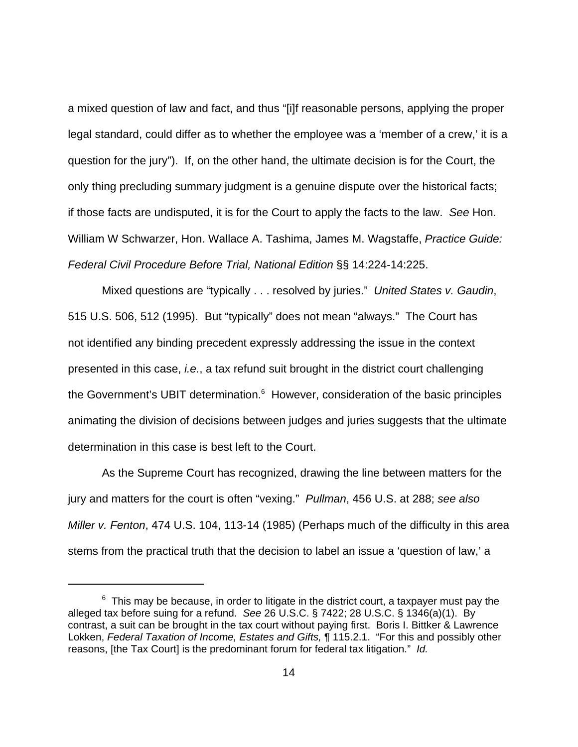a mixed question of law and fact, and thus "[i]f reasonable persons, applying the proper legal standard, could differ as to whether the employee was a 'member of a crew,' it is a question for the jury"). If, on the other hand, the ultimate decision is for the Court, the only thing precluding summary judgment is a genuine dispute over the historical facts; if those facts are undisputed, it is for the Court to apply the facts to the law. See Hon. William W Schwarzer, Hon. Wallace A. Tashima, James M. Wagstaffe, Practice Guide: Federal Civil Procedure Before Trial, National Edition §§ 14:224-14:225.

Mixed questions are "typically . . . resolved by juries." United States v. Gaudin, 515 U.S. 506, 512 (1995). But "typically" does not mean "always." The Court has not identified any binding precedent expressly addressing the issue in the context presented in this case, i.e., a tax refund suit brought in the district court challenging the Government's UBIT determination.<sup>6</sup> However, consideration of the basic principles animating the division of decisions between judges and juries suggests that the ultimate determination in this case is best left to the Court.

As the Supreme Court has recognized, drawing the line between matters for the jury and matters for the court is often "vexing." Pullman, 456 U.S. at 288; see also Miller v. Fenton, 474 U.S. 104, 113-14 (1985) (Perhaps much of the difficulty in this area stems from the practical truth that the decision to label an issue a 'question of law,' a

 $^6$  This may be because, in order to litigate in the district court, a taxpayer must pay the alleged tax before suing for a refund. See 26 U.S.C. § 7422; 28 U.S.C. § 1346(a)(1). By contrast, a suit can be brought in the tax court without paying first. Boris I. Bittker & Lawrence Lokken, Federal Taxation of Income, Estates and Gifts, 115.2.1. "For this and possibly other reasons, [the Tax Court] is the predominant forum for federal tax litigation." Id.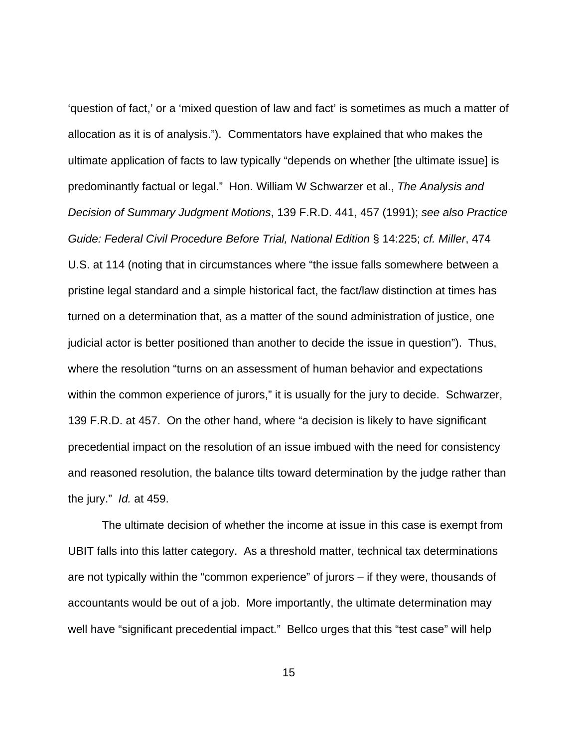'question of fact,' or a 'mixed question of law and fact' is sometimes as much a matter of allocation as it is of analysis."). Commentators have explained that who makes the ultimate application of facts to law typically "depends on whether [the ultimate issue] is predominantly factual or legal." Hon. William W Schwarzer et al., The Analysis and Decision of Summary Judgment Motions, 139 F.R.D. 441, 457 (1991); see also Practice Guide: Federal Civil Procedure Before Trial, National Edition § 14:225; cf. Miller, 474 U.S. at 114 (noting that in circumstances where "the issue falls somewhere between a pristine legal standard and a simple historical fact, the fact/law distinction at times has turned on a determination that, as a matter of the sound administration of justice, one judicial actor is better positioned than another to decide the issue in question"). Thus, where the resolution "turns on an assessment of human behavior and expectations within the common experience of jurors," it is usually for the jury to decide. Schwarzer, 139 F.R.D. at 457. On the other hand, where "a decision is likely to have significant precedential impact on the resolution of an issue imbued with the need for consistency and reasoned resolution, the balance tilts toward determination by the judge rather than the jury." Id. at 459.

The ultimate decision of whether the income at issue in this case is exempt from UBIT falls into this latter category. As a threshold matter, technical tax determinations are not typically within the "common experience" of jurors – if they were, thousands of accountants would be out of a job. More importantly, the ultimate determination may well have "significant precedential impact." Bellco urges that this "test case" will help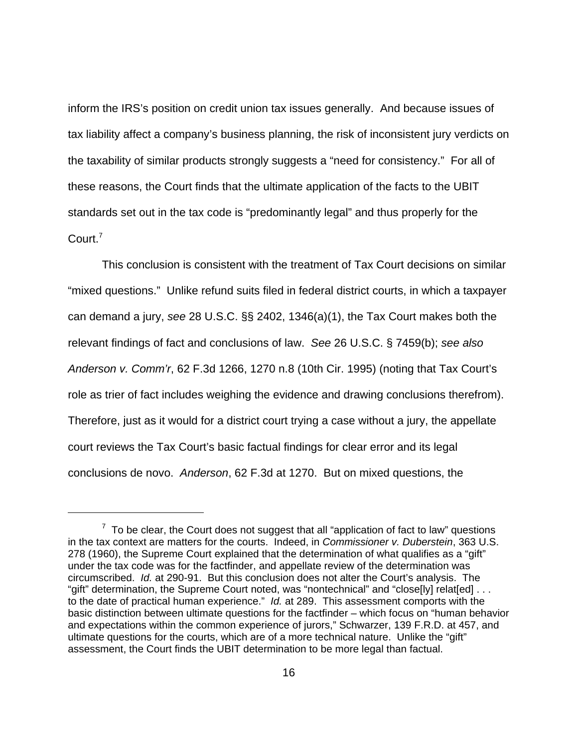inform the IRS's position on credit union tax issues generally. And because issues of tax liability affect a company's business planning, the risk of inconsistent jury verdicts on the taxability of similar products strongly suggests a "need for consistency." For all of these reasons, the Court finds that the ultimate application of the facts to the UBIT standards set out in the tax code is "predominantly legal" and thus properly for the Court.<sup>7</sup>

This conclusion is consistent with the treatment of Tax Court decisions on similar "mixed questions." Unlike refund suits filed in federal district courts, in which a taxpayer can demand a jury, see 28 U.S.C. §§ 2402, 1346(a)(1), the Tax Court makes both the relevant findings of fact and conclusions of law. See 26 U.S.C. § 7459(b); see also Anderson v. Comm'r, 62 F.3d 1266, 1270 n.8 (10th Cir. 1995) (noting that Tax Court's role as trier of fact includes weighing the evidence and drawing conclusions therefrom). Therefore, just as it would for a district court trying a case without a jury, the appellate court reviews the Tax Court's basic factual findings for clear error and its legal conclusions de novo. Anderson, 62 F.3d at 1270. But on mixed questions, the

 $7$  To be clear, the Court does not suggest that all "application of fact to law" questions in the tax context are matters for the courts. Indeed, in Commissioner v. Duberstein, 363 U.S. 278 (1960), the Supreme Court explained that the determination of what qualifies as a "gift" under the tax code was for the factfinder, and appellate review of the determination was circumscribed. Id. at 290-91. But this conclusion does not alter the Court's analysis. The "gift" determination, the Supreme Court noted, was "nontechnical" and "close[ly] relat[ed] . . . to the date of practical human experience." Id. at 289. This assessment comports with the basic distinction between ultimate questions for the factfinder – which focus on "human behavior and expectations within the common experience of jurors," Schwarzer, 139 F.R.D. at 457, and ultimate questions for the courts, which are of a more technical nature. Unlike the "gift" assessment, the Court finds the UBIT determination to be more legal than factual.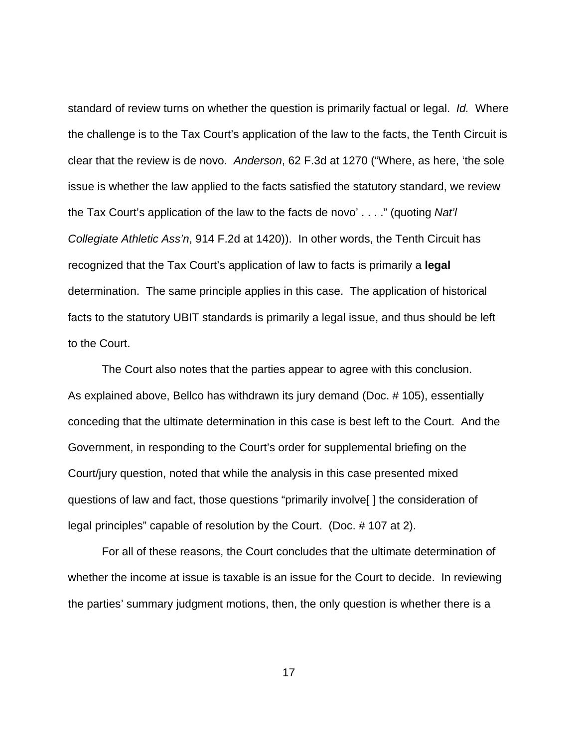standard of review turns on whether the question is primarily factual or legal. Id. Where the challenge is to the Tax Court's application of the law to the facts, the Tenth Circuit is clear that the review is de novo. Anderson, 62 F.3d at 1270 ("Where, as here, 'the sole issue is whether the law applied to the facts satisfied the statutory standard, we review the Tax Court's application of the law to the facts de novo' . . . ." (quoting Nat'l Collegiate Athletic Ass'n, 914 F.2d at 1420)). In other words, the Tenth Circuit has recognized that the Tax Court's application of law to facts is primarily a **legal** determination. The same principle applies in this case. The application of historical facts to the statutory UBIT standards is primarily a legal issue, and thus should be left to the Court.

The Court also notes that the parties appear to agree with this conclusion. As explained above, Bellco has withdrawn its jury demand (Doc. # 105), essentially conceding that the ultimate determination in this case is best left to the Court. And the Government, in responding to the Court's order for supplemental briefing on the Court/jury question, noted that while the analysis in this case presented mixed questions of law and fact, those questions "primarily involve[ ] the consideration of legal principles" capable of resolution by the Court. (Doc. # 107 at 2).

For all of these reasons, the Court concludes that the ultimate determination of whether the income at issue is taxable is an issue for the Court to decide. In reviewing the parties' summary judgment motions, then, the only question is whether there is a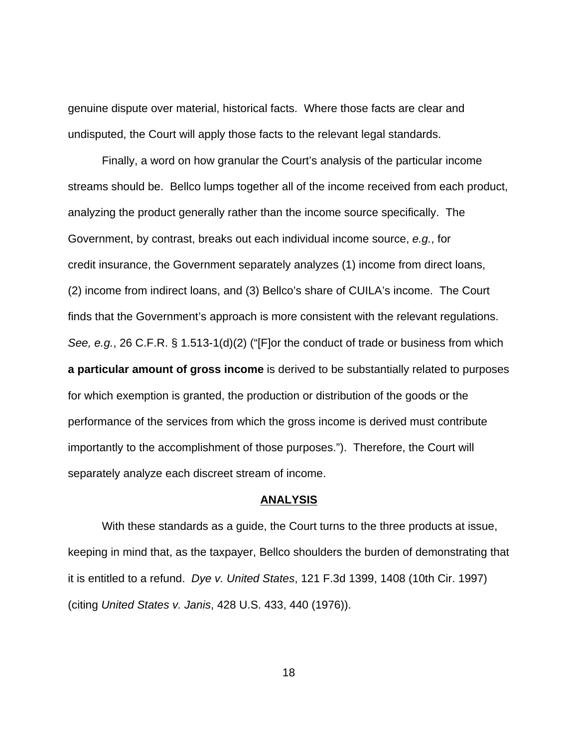genuine dispute over material, historical facts. Where those facts are clear and undisputed, the Court will apply those facts to the relevant legal standards.

Finally, a word on how granular the Court's analysis of the particular income streams should be. Bellco lumps together all of the income received from each product, analyzing the product generally rather than the income source specifically. The Government, by contrast, breaks out each individual income source, e.g., for credit insurance, the Government separately analyzes (1) income from direct loans, (2) income from indirect loans, and (3) Bellco's share of CUILA's income. The Court finds that the Government's approach is more consistent with the relevant regulations. See, e.g., 26 C.F.R. § 1.513-1(d)(2) ("[F]or the conduct of trade or business from which **a particular amount of gross income** is derived to be substantially related to purposes for which exemption is granted, the production or distribution of the goods or the performance of the services from which the gross income is derived must contribute importantly to the accomplishment of those purposes."). Therefore, the Court will separately analyze each discreet stream of income.

#### **ANALYSIS**

With these standards as a guide, the Court turns to the three products at issue, keeping in mind that, as the taxpayer, Bellco shoulders the burden of demonstrating that it is entitled to a refund. Dye v. United States, 121 F.3d 1399, 1408 (10th Cir. 1997) (citing United States v. Janis, 428 U.S. 433, 440 (1976)).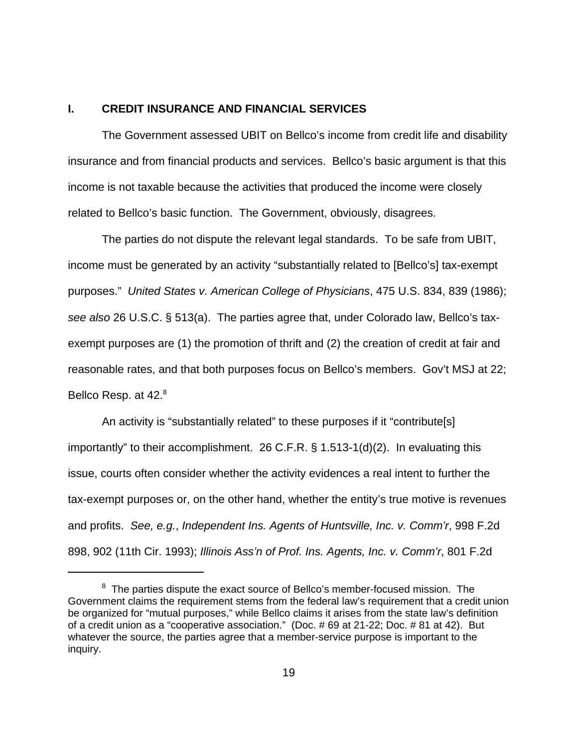### **I. CREDIT INSURANCE AND FINANCIAL SERVICES**

The Government assessed UBIT on Bellco's income from credit life and disability insurance and from financial products and services. Bellco's basic argument is that this income is not taxable because the activities that produced the income were closely related to Bellco's basic function. The Government, obviously, disagrees.

The parties do not dispute the relevant legal standards. To be safe from UBIT, income must be generated by an activity "substantially related to [Bellco's] tax-exempt purposes." United States v. American College of Physicians, 475 U.S. 834, 839 (1986); see also 26 U.S.C. § 513(a). The parties agree that, under Colorado law, Bellco's taxexempt purposes are (1) the promotion of thrift and (2) the creation of credit at fair and reasonable rates, and that both purposes focus on Bellco's members. Gov't MSJ at 22; Bellco Resp. at 42.<sup>8</sup>

An activity is "substantially related" to these purposes if it "contribute[s] importantly" to their accomplishment. 26 C.F.R. § 1.513-1(d)(2). In evaluating this issue, courts often consider whether the activity evidences a real intent to further the tax-exempt purposes or, on the other hand, whether the entity's true motive is revenues and profits. See, e.g., Independent Ins. Agents of Huntsville, Inc. v. Comm'r, 998 F.2d 898, 902 (11th Cir. 1993); Illinois Ass'n of Prof. Ins. Agents, Inc. v. Comm'r, 801 F.2d

 $8$  The parties dispute the exact source of Bellco's member-focused mission. The Government claims the requirement stems from the federal law's requirement that a credit union be organized for "mutual purposes," while Bellco claims it arises from the state law's definition of a credit union as a "cooperative association." (Doc. # 69 at 21-22; Doc. # 81 at 42). But whatever the source, the parties agree that a member-service purpose is important to the inquiry.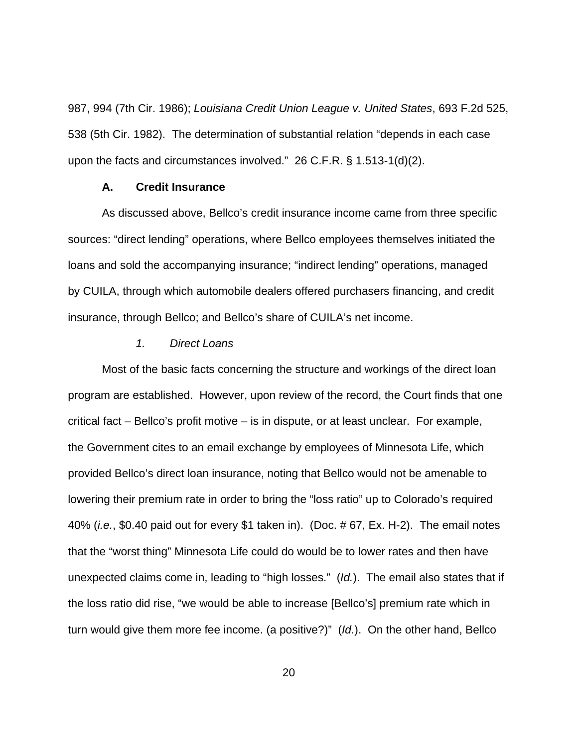987, 994 (7th Cir. 1986); Louisiana Credit Union League v. United States, 693 F.2d 525, 538 (5th Cir. 1982). The determination of substantial relation "depends in each case upon the facts and circumstances involved." 26 C.F.R. § 1.513-1(d)(2).

# **A. Credit Insurance**

As discussed above, Bellco's credit insurance income came from three specific sources: "direct lending" operations, where Bellco employees themselves initiated the loans and sold the accompanying insurance; "indirect lending" operations, managed by CUILA, through which automobile dealers offered purchasers financing, and credit insurance, through Bellco; and Bellco's share of CUILA's net income.

#### 1. Direct Loans

Most of the basic facts concerning the structure and workings of the direct loan program are established. However, upon review of the record, the Court finds that one critical fact – Bellco's profit motive – is in dispute, or at least unclear. For example, the Government cites to an email exchange by employees of Minnesota Life, which provided Bellco's direct loan insurance, noting that Bellco would not be amenable to lowering their premium rate in order to bring the "loss ratio" up to Colorado's required 40% (i.e., \$0.40 paid out for every \$1 taken in). (Doc. # 67, Ex. H-2). The email notes that the "worst thing" Minnesota Life could do would be to lower rates and then have unexpected claims come in, leading to "high losses." (Id.). The email also states that if the loss ratio did rise, "we would be able to increase [Bellco's] premium rate which in turn would give them more fee income. (a positive?)" (Id.). On the other hand, Bellco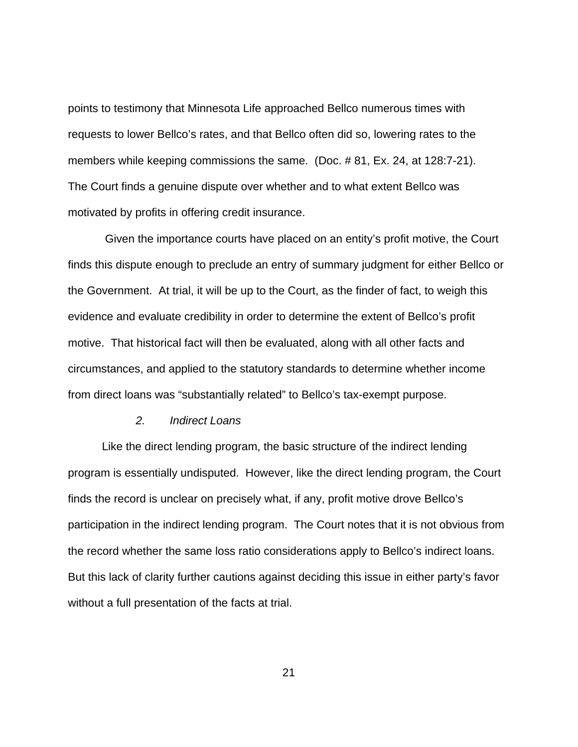points to testimony that Minnesota Life approached Bellco numerous times with requests to lower Bellco's rates, and that Bellco often did so, lowering rates to the members while keeping commissions the same. (Doc. # 81, Ex. 24, at 128:7-21). The Court finds a genuine dispute over whether and to what extent Bellco was motivated by profits in offering credit insurance.

 Given the importance courts have placed on an entity's profit motive, the Court finds this dispute enough to preclude an entry of summary judgment for either Bellco or the Government. At trial, it will be up to the Court, as the finder of fact, to weigh this evidence and evaluate credibility in order to determine the extent of Bellco's profit motive. That historical fact will then be evaluated, along with all other facts and circumstances, and applied to the statutory standards to determine whether income from direct loans was "substantially related" to Bellco's tax-exempt purpose.

## 2. Indirect Loans

Like the direct lending program, the basic structure of the indirect lending program is essentially undisputed. However, like the direct lending program, the Court finds the record is unclear on precisely what, if any, profit motive drove Bellco's participation in the indirect lending program. The Court notes that it is not obvious from the record whether the same loss ratio considerations apply to Bellco's indirect loans. But this lack of clarity further cautions against deciding this issue in either party's favor without a full presentation of the facts at trial.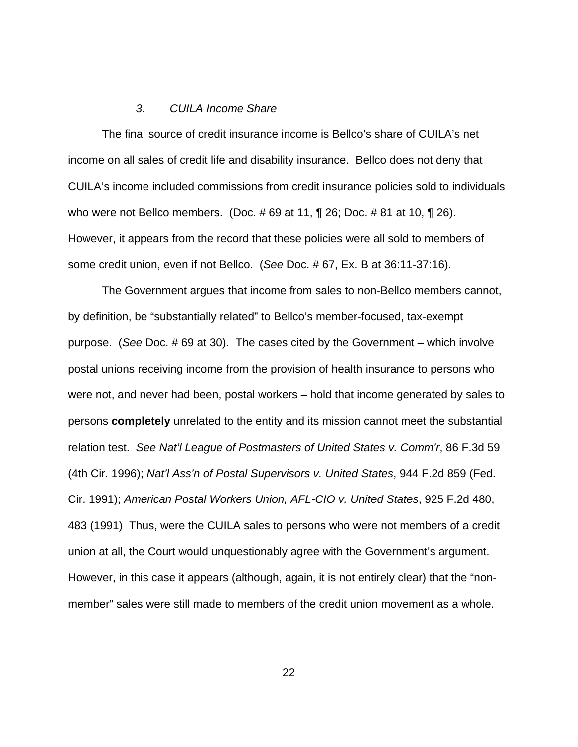#### 3. CUILA Income Share

The final source of credit insurance income is Bellco's share of CUILA's net income on all sales of credit life and disability insurance. Bellco does not deny that CUILA's income included commissions from credit insurance policies sold to individuals who were not Bellco members. (Doc. # 69 at 11, ¶ 26; Doc. # 81 at 10, ¶ 26). However, it appears from the record that these policies were all sold to members of some credit union, even if not Bellco. (See Doc. # 67, Ex. B at 36:11-37:16).

The Government argues that income from sales to non-Bellco members cannot, by definition, be "substantially related" to Bellco's member-focused, tax-exempt purpose. (See Doc. # 69 at 30). The cases cited by the Government – which involve postal unions receiving income from the provision of health insurance to persons who were not, and never had been, postal workers – hold that income generated by sales to persons **completely** unrelated to the entity and its mission cannot meet the substantial relation test. See Nat'l League of Postmasters of United States v. Comm'r, 86 F.3d 59 (4th Cir. 1996); Nat'l Ass'n of Postal Supervisors v. United States, 944 F.2d 859 (Fed. Cir. 1991); American Postal Workers Union, AFL-CIO v. United States, 925 F.2d 480, 483 (1991) Thus, were the CUILA sales to persons who were not members of a credit union at all, the Court would unquestionably agree with the Government's argument. However, in this case it appears (although, again, it is not entirely clear) that the "nonmember" sales were still made to members of the credit union movement as a whole.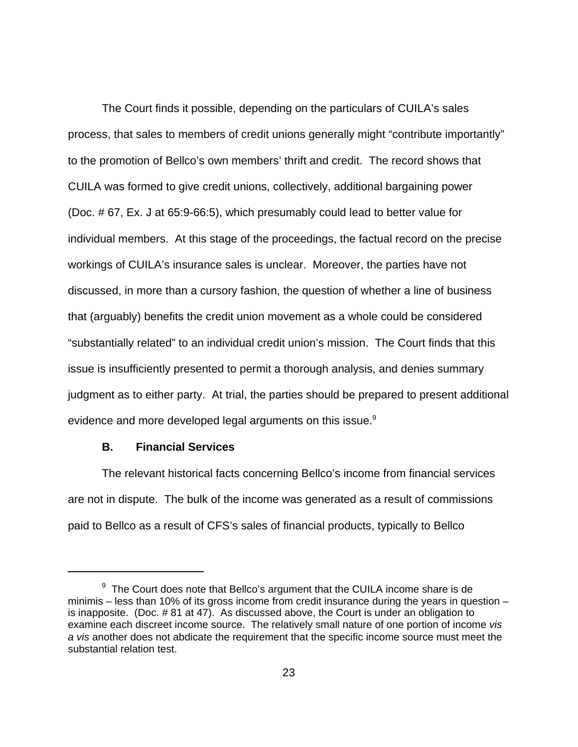The Court finds it possible, depending on the particulars of CUILA's sales process, that sales to members of credit unions generally might "contribute importantly" to the promotion of Bellco's own members' thrift and credit. The record shows that CUILA was formed to give credit unions, collectively, additional bargaining power (Doc. # 67, Ex. J at 65:9-66:5), which presumably could lead to better value for individual members. At this stage of the proceedings, the factual record on the precise workings of CUILA's insurance sales is unclear. Moreover, the parties have not discussed, in more than a cursory fashion, the question of whether a line of business that (arguably) benefits the credit union movement as a whole could be considered "substantially related" to an individual credit union's mission. The Court finds that this issue is insufficiently presented to permit a thorough analysis, and denies summary judgment as to either party. At trial, the parties should be prepared to present additional evidence and more developed legal arguments on this issue.<sup>9</sup>

## **B. Financial Services**

The relevant historical facts concerning Bellco's income from financial services are not in dispute. The bulk of the income was generated as a result of commissions paid to Bellco as a result of CFS's sales of financial products, typically to Bellco

 $9$  The Court does note that Bellco's argument that the CUILA income share is de minimis – less than 10% of its gross income from credit insurance during the years in question – is inapposite. (Doc. # 81 at 47). As discussed above, the Court is under an obligation to examine each discreet income source. The relatively small nature of one portion of income vis a vis another does not abdicate the requirement that the specific income source must meet the substantial relation test.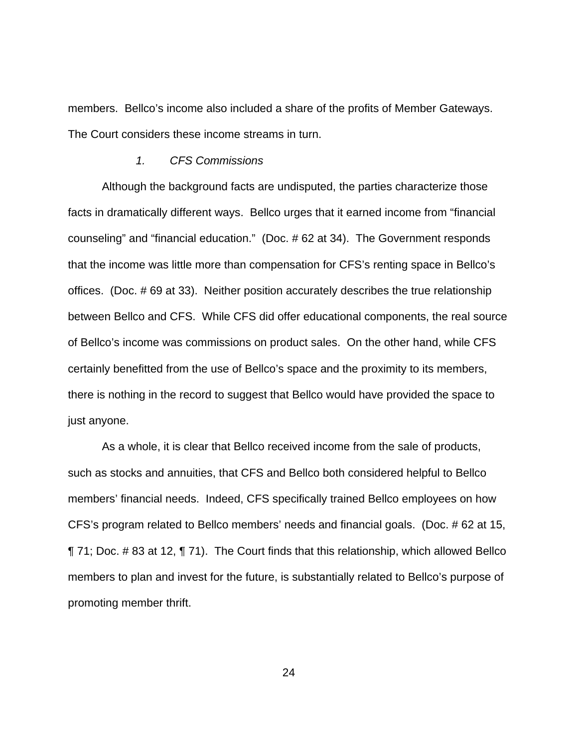members. Bellco's income also included a share of the profits of Member Gateways. The Court considers these income streams in turn.

#### 1. CFS Commissions

Although the background facts are undisputed, the parties characterize those facts in dramatically different ways. Bellco urges that it earned income from "financial counseling" and "financial education." (Doc. # 62 at 34). The Government responds that the income was little more than compensation for CFS's renting space in Bellco's offices. (Doc. # 69 at 33). Neither position accurately describes the true relationship between Bellco and CFS. While CFS did offer educational components, the real source of Bellco's income was commissions on product sales. On the other hand, while CFS certainly benefitted from the use of Bellco's space and the proximity to its members, there is nothing in the record to suggest that Bellco would have provided the space to just anyone.

As a whole, it is clear that Bellco received income from the sale of products, such as stocks and annuities, that CFS and Bellco both considered helpful to Bellco members' financial needs. Indeed, CFS specifically trained Bellco employees on how CFS's program related to Bellco members' needs and financial goals. (Doc. # 62 at 15, ¶ 71; Doc. # 83 at 12, ¶ 71). The Court finds that this relationship, which allowed Bellco members to plan and invest for the future, is substantially related to Bellco's purpose of promoting member thrift.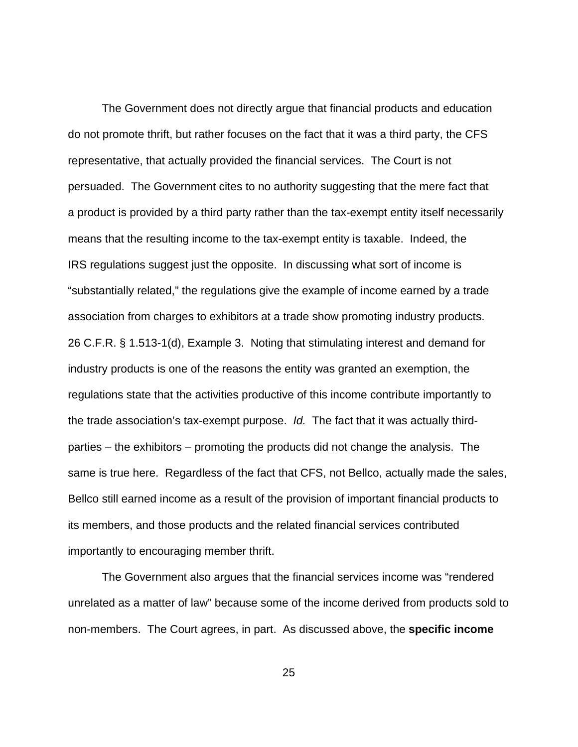The Government does not directly argue that financial products and education do not promote thrift, but rather focuses on the fact that it was a third party, the CFS representative, that actually provided the financial services. The Court is not persuaded. The Government cites to no authority suggesting that the mere fact that a product is provided by a third party rather than the tax-exempt entity itself necessarily means that the resulting income to the tax-exempt entity is taxable. Indeed, the IRS regulations suggest just the opposite. In discussing what sort of income is "substantially related," the regulations give the example of income earned by a trade association from charges to exhibitors at a trade show promoting industry products. 26 C.F.R. § 1.513-1(d), Example 3. Noting that stimulating interest and demand for industry products is one of the reasons the entity was granted an exemption, the regulations state that the activities productive of this income contribute importantly to the trade association's tax-exempt purpose. Id. The fact that it was actually thirdparties – the exhibitors – promoting the products did not change the analysis. The same is true here. Regardless of the fact that CFS, not Bellco, actually made the sales, Bellco still earned income as a result of the provision of important financial products to its members, and those products and the related financial services contributed importantly to encouraging member thrift.

The Government also argues that the financial services income was "rendered unrelated as a matter of law" because some of the income derived from products sold to non-members. The Court agrees, in part. As discussed above, the **specific income**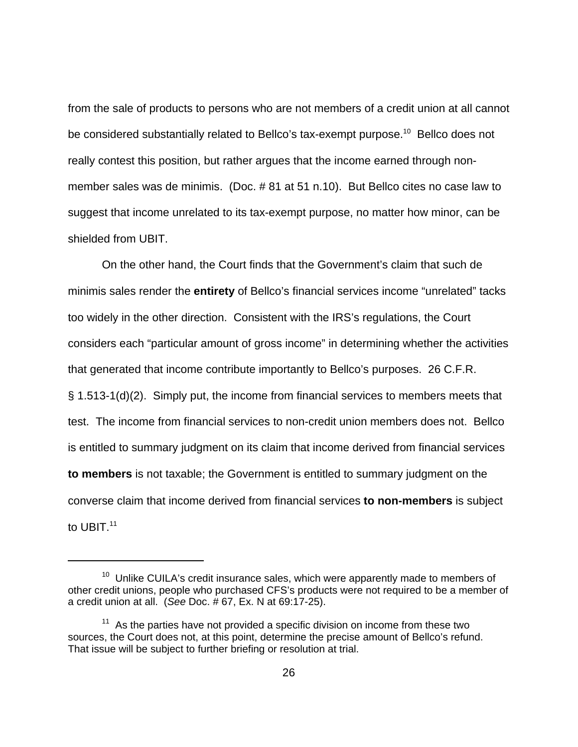from the sale of products to persons who are not members of a credit union at all cannot be considered substantially related to Bellco's tax-exempt purpose.<sup>10</sup> Bellco does not really contest this position, but rather argues that the income earned through nonmember sales was de minimis. (Doc. # 81 at 51 n.10). But Bellco cites no case law to suggest that income unrelated to its tax-exempt purpose, no matter how minor, can be shielded from UBIT.

On the other hand, the Court finds that the Government's claim that such de minimis sales render the **entirety** of Bellco's financial services income "unrelated" tacks too widely in the other direction. Consistent with the IRS's regulations, the Court considers each "particular amount of gross income" in determining whether the activities that generated that income contribute importantly to Bellco's purposes. 26 C.F.R. § 1.513-1(d)(2). Simply put, the income from financial services to members meets that test. The income from financial services to non-credit union members does not. Bellco is entitled to summary judgment on its claim that income derived from financial services **to members** is not taxable; the Government is entitled to summary judgment on the converse claim that income derived from financial services **to non-members** is subject to UBIT.<sup>11</sup>

 $10$  Unlike CUILA's credit insurance sales, which were apparently made to members of other credit unions, people who purchased CFS's products were not required to be a member of a credit union at all. (See Doc. # 67, Ex. N at 69:17-25).

 $11$  As the parties have not provided a specific division on income from these two sources, the Court does not, at this point, determine the precise amount of Bellco's refund. That issue will be subject to further briefing or resolution at trial.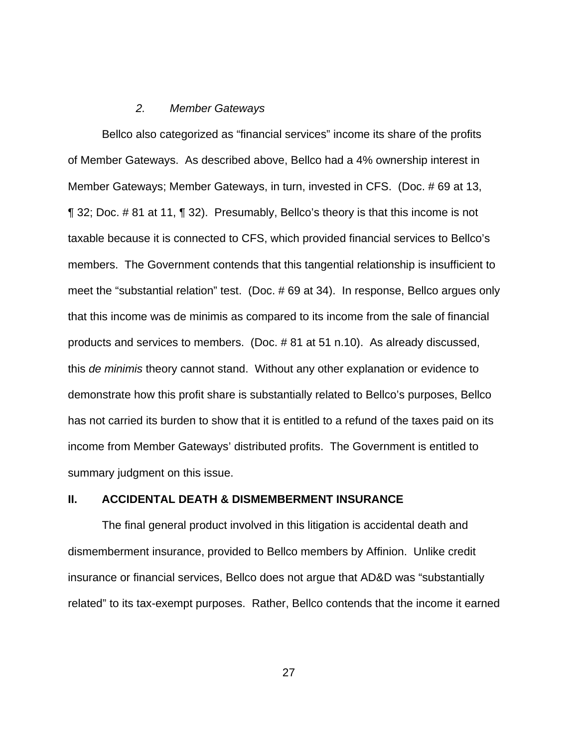### 2. Member Gateways

Bellco also categorized as "financial services" income its share of the profits of Member Gateways. As described above, Bellco had a 4% ownership interest in Member Gateways; Member Gateways, in turn, invested in CFS. (Doc. # 69 at 13, ¶ 32; Doc. # 81 at 11, ¶ 32). Presumably, Bellco's theory is that this income is not taxable because it is connected to CFS, which provided financial services to Bellco's members. The Government contends that this tangential relationship is insufficient to meet the "substantial relation" test. (Doc. # 69 at 34). In response, Bellco argues only that this income was de minimis as compared to its income from the sale of financial products and services to members. (Doc. # 81 at 51 n.10). As already discussed, this de minimis theory cannot stand. Without any other explanation or evidence to demonstrate how this profit share is substantially related to Bellco's purposes, Bellco has not carried its burden to show that it is entitled to a refund of the taxes paid on its income from Member Gateways' distributed profits. The Government is entitled to summary judgment on this issue.

### **II. ACCIDENTAL DEATH & DISMEMBERMENT INSURANCE**

The final general product involved in this litigation is accidental death and dismemberment insurance, provided to Bellco members by Affinion. Unlike credit insurance or financial services, Bellco does not argue that AD&D was "substantially related" to its tax-exempt purposes. Rather, Bellco contends that the income it earned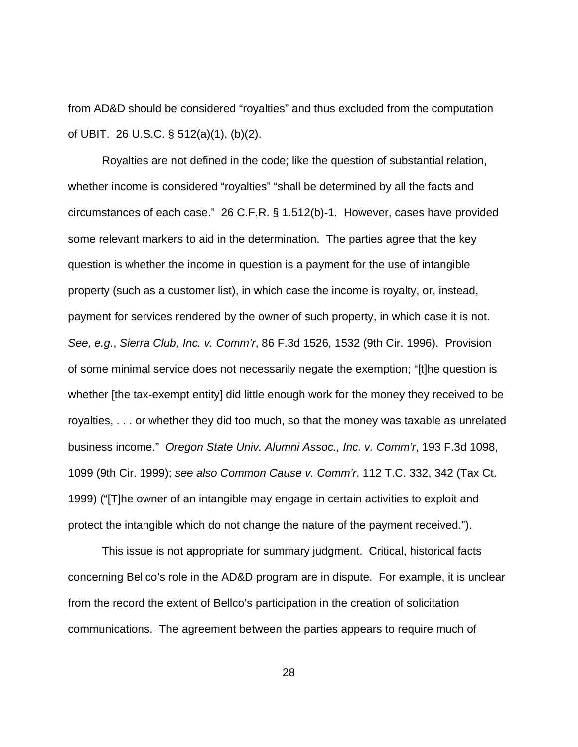from AD&D should be considered "royalties" and thus excluded from the computation of UBIT. 26 U.S.C. § 512(a)(1), (b)(2).

Royalties are not defined in the code; like the question of substantial relation, whether income is considered "royalties" "shall be determined by all the facts and circumstances of each case." 26 C.F.R. § 1.512(b)-1. However, cases have provided some relevant markers to aid in the determination. The parties agree that the key question is whether the income in question is a payment for the use of intangible property (such as a customer list), in which case the income is royalty, or, instead, payment for services rendered by the owner of such property, in which case it is not. See, e.g., Sierra Club, Inc. v. Comm'r, 86 F.3d 1526, 1532 (9th Cir. 1996). Provision of some minimal service does not necessarily negate the exemption; "[t]he question is whether [the tax-exempt entity] did little enough work for the money they received to be royalties, . . . or whether they did too much, so that the money was taxable as unrelated business income." Oregon State Univ. Alumni Assoc., Inc. v. Comm'r, 193 F.3d 1098, 1099 (9th Cir. 1999); see also Common Cause v. Comm'r, 112 T.C. 332, 342 (Tax Ct. 1999) ("[T]he owner of an intangible may engage in certain activities to exploit and protect the intangible which do not change the nature of the payment received.").

This issue is not appropriate for summary judgment. Critical, historical facts concerning Bellco's role in the AD&D program are in dispute. For example, it is unclear from the record the extent of Bellco's participation in the creation of solicitation communications. The agreement between the parties appears to require much of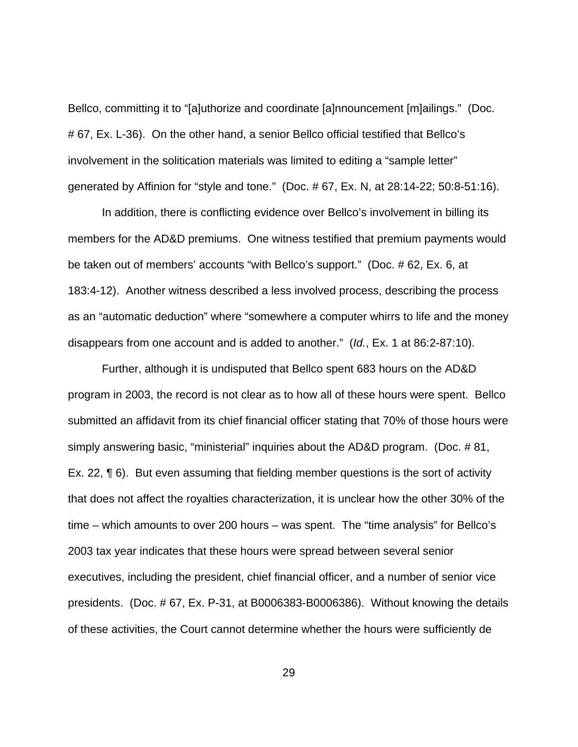Bellco, committing it to "[a]uthorize and coordinate [a]nnouncement [m]ailings." (Doc. # 67, Ex. L-36). On the other hand, a senior Bellco official testified that Bellco's involvement in the solitication materials was limited to editing a "sample letter" generated by Affinion for "style and tone." (Doc. # 67, Ex. N, at 28:14-22; 50:8-51:16).

In addition, there is conflicting evidence over Bellco's involvement in billing its members for the AD&D premiums. One witness testified that premium payments would be taken out of members' accounts "with Bellco's support." (Doc. # 62, Ex. 6, at 183:4-12). Another witness described a less involved process, describing the process as an "automatic deduction" where "somewhere a computer whirrs to life and the money disappears from one account and is added to another." (Id., Ex. 1 at 86:2-87:10).

Further, although it is undisputed that Bellco spent 683 hours on the AD&D program in 2003, the record is not clear as to how all of these hours were spent. Bellco submitted an affidavit from its chief financial officer stating that 70% of those hours were simply answering basic, "ministerial" inquiries about the AD&D program. (Doc. # 81, Ex. 22, ¶ 6). But even assuming that fielding member questions is the sort of activity that does not affect the royalties characterization, it is unclear how the other 30% of the time – which amounts to over 200 hours – was spent. The "time analysis" for Bellco's 2003 tax year indicates that these hours were spread between several senior executives, including the president, chief financial officer, and a number of senior vice presidents. (Doc. # 67, Ex. P-31, at B0006383-B0006386). Without knowing the details of these activities, the Court cannot determine whether the hours were sufficiently de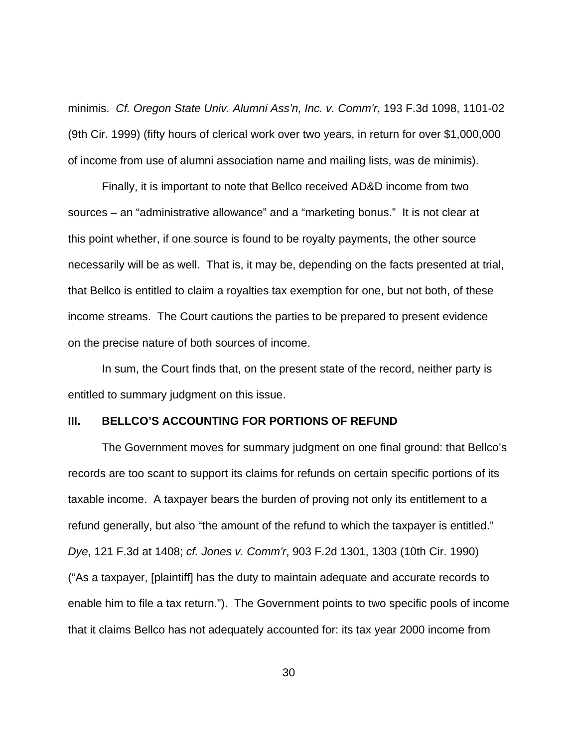minimis. Cf. Oregon State Univ. Alumni Ass'n, Inc. v. Comm'r, 193 F.3d 1098, 1101-02 (9th Cir. 1999) (fifty hours of clerical work over two years, in return for over \$1,000,000 of income from use of alumni association name and mailing lists, was de minimis).

Finally, it is important to note that Bellco received AD&D income from two sources – an "administrative allowance" and a "marketing bonus." It is not clear at this point whether, if one source is found to be royalty payments, the other source necessarily will be as well. That is, it may be, depending on the facts presented at trial, that Bellco is entitled to claim a royalties tax exemption for one, but not both, of these income streams. The Court cautions the parties to be prepared to present evidence on the precise nature of both sources of income.

In sum, the Court finds that, on the present state of the record, neither party is entitled to summary judgment on this issue.

#### **III. BELLCO'S ACCOUNTING FOR PORTIONS OF REFUND**

The Government moves for summary judgment on one final ground: that Bellco's records are too scant to support its claims for refunds on certain specific portions of its taxable income. A taxpayer bears the burden of proving not only its entitlement to a refund generally, but also "the amount of the refund to which the taxpayer is entitled." Dye, 121 F.3d at 1408; cf. Jones v. Comm'r, 903 F.2d 1301, 1303 (10th Cir. 1990) ("As a taxpayer, [plaintiff] has the duty to maintain adequate and accurate records to enable him to file a tax return."). The Government points to two specific pools of income that it claims Bellco has not adequately accounted for: its tax year 2000 income from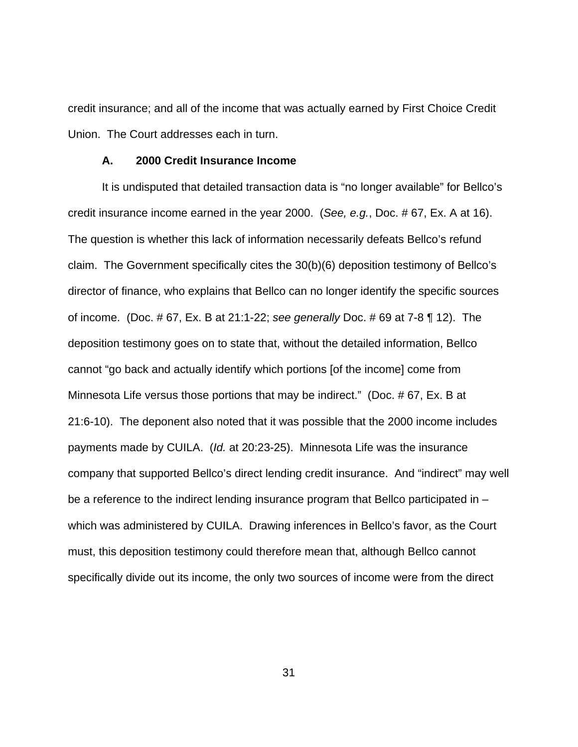credit insurance; and all of the income that was actually earned by First Choice Credit Union. The Court addresses each in turn.

#### **A. 2000 Credit Insurance Income**

It is undisputed that detailed transaction data is "no longer available" for Bellco's credit insurance income earned in the year 2000. (See, e.g., Doc. # 67, Ex. A at 16). The question is whether this lack of information necessarily defeats Bellco's refund claim. The Government specifically cites the 30(b)(6) deposition testimony of Bellco's director of finance, who explains that Bellco can no longer identify the specific sources of income. (Doc. # 67, Ex. B at 21:1-22; see generally Doc. # 69 at 7-8 ¶ 12). The deposition testimony goes on to state that, without the detailed information, Bellco cannot "go back and actually identify which portions [of the income] come from Minnesota Life versus those portions that may be indirect." (Doc. # 67, Ex. B at 21:6-10). The deponent also noted that it was possible that the 2000 income includes payments made by CUILA. (Id. at 20:23-25). Minnesota Life was the insurance company that supported Bellco's direct lending credit insurance. And "indirect" may well be a reference to the indirect lending insurance program that Bellco participated in – which was administered by CUILA. Drawing inferences in Bellco's favor, as the Court must, this deposition testimony could therefore mean that, although Bellco cannot specifically divide out its income, the only two sources of income were from the direct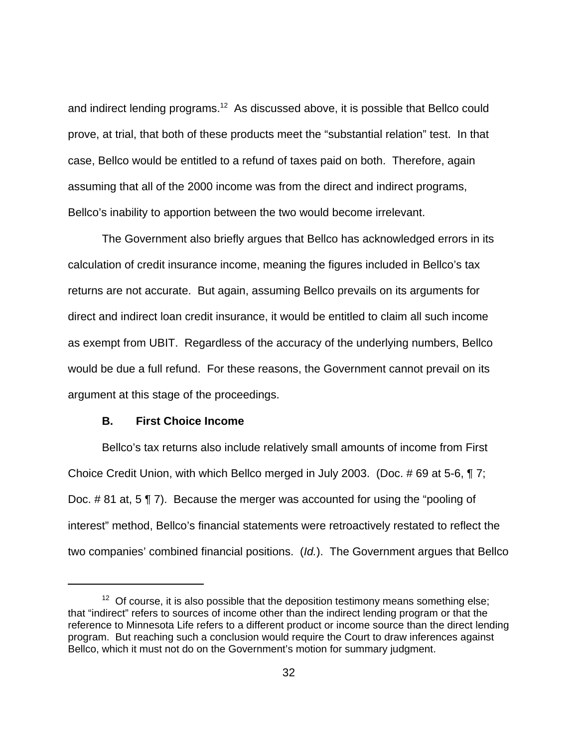and indirect lending programs.<sup>12</sup> As discussed above, it is possible that Bellco could prove, at trial, that both of these products meet the "substantial relation" test. In that case, Bellco would be entitled to a refund of taxes paid on both. Therefore, again assuming that all of the 2000 income was from the direct and indirect programs, Bellco's inability to apportion between the two would become irrelevant.

The Government also briefly argues that Bellco has acknowledged errors in its calculation of credit insurance income, meaning the figures included in Bellco's tax returns are not accurate. But again, assuming Bellco prevails on its arguments for direct and indirect loan credit insurance, it would be entitled to claim all such income as exempt from UBIT. Regardless of the accuracy of the underlying numbers, Bellco would be due a full refund. For these reasons, the Government cannot prevail on its argument at this stage of the proceedings.

# **B. First Choice Income**

Bellco's tax returns also include relatively small amounts of income from First Choice Credit Union, with which Bellco merged in July 2003. (Doc. # 69 at 5-6, ¶ 7; Doc. # 81 at, 5 ¶ 7). Because the merger was accounted for using the "pooling of interest" method, Bellco's financial statements were retroactively restated to reflect the two companies' combined financial positions. (Id.). The Government argues that Bellco

 $12$  Of course, it is also possible that the deposition testimony means something else; that "indirect" refers to sources of income other than the indirect lending program or that the reference to Minnesota Life refers to a different product or income source than the direct lending program. But reaching such a conclusion would require the Court to draw inferences against Bellco, which it must not do on the Government's motion for summary judgment.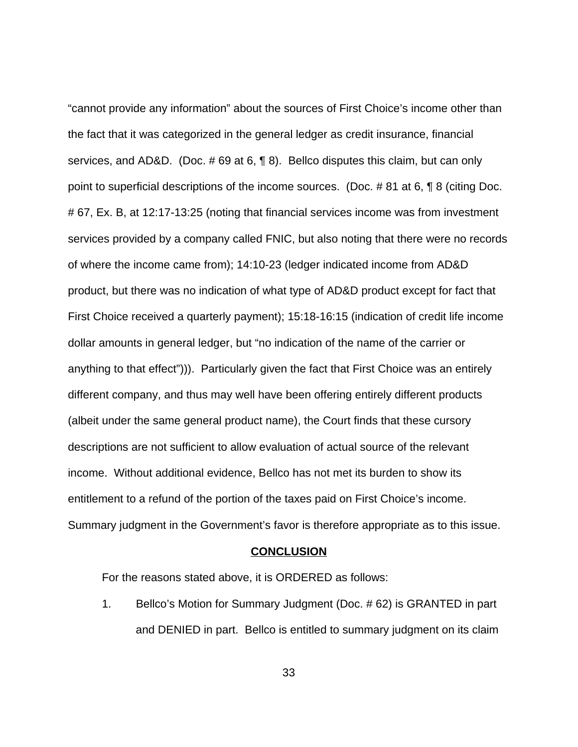"cannot provide any information" about the sources of First Choice's income other than the fact that it was categorized in the general ledger as credit insurance, financial services, and AD&D. (Doc. # 69 at 6, ¶ 8). Bellco disputes this claim, but can only point to superficial descriptions of the income sources. (Doc. # 81 at 6, ¶ 8 (citing Doc. # 67, Ex. B, at 12:17-13:25 (noting that financial services income was from investment services provided by a company called FNIC, but also noting that there were no records of where the income came from); 14:10-23 (ledger indicated income from AD&D product, but there was no indication of what type of AD&D product except for fact that First Choice received a quarterly payment); 15:18-16:15 (indication of credit life income dollar amounts in general ledger, but "no indication of the name of the carrier or anything to that effect"))). Particularly given the fact that First Choice was an entirely different company, and thus may well have been offering entirely different products (albeit under the same general product name), the Court finds that these cursory descriptions are not sufficient to allow evaluation of actual source of the relevant income. Without additional evidence, Bellco has not met its burden to show its entitlement to a refund of the portion of the taxes paid on First Choice's income. Summary judgment in the Government's favor is therefore appropriate as to this issue.

#### **CONCLUSION**

For the reasons stated above, it is ORDERED as follows:

1. Bellco's Motion for Summary Judgment (Doc. # 62) is GRANTED in part and DENIED in part. Bellco is entitled to summary judgment on its claim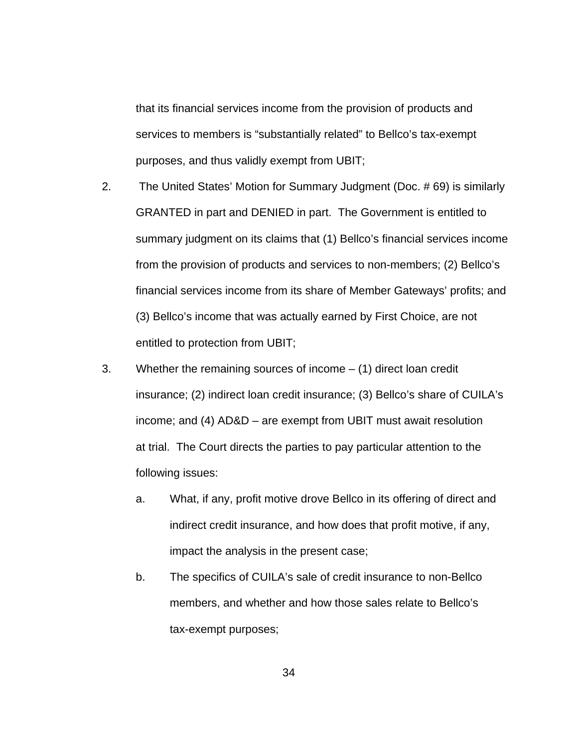that its financial services income from the provision of products and services to members is "substantially related" to Bellco's tax-exempt purposes, and thus validly exempt from UBIT;

- 2. The United States' Motion for Summary Judgment (Doc. # 69) is similarly GRANTED in part and DENIED in part. The Government is entitled to summary judgment on its claims that (1) Bellco's financial services income from the provision of products and services to non-members; (2) Bellco's financial services income from its share of Member Gateways' profits; and (3) Bellco's income that was actually earned by First Choice, are not entitled to protection from UBIT;
- 3. Whether the remaining sources of income (1) direct loan credit insurance; (2) indirect loan credit insurance; (3) Bellco's share of CUILA's income; and (4) AD&D – are exempt from UBIT must await resolution at trial. The Court directs the parties to pay particular attention to the following issues:
	- a. What, if any, profit motive drove Bellco in its offering of direct and indirect credit insurance, and how does that profit motive, if any, impact the analysis in the present case;
	- b. The specifics of CUILA's sale of credit insurance to non-Bellco members, and whether and how those sales relate to Bellco's tax-exempt purposes;